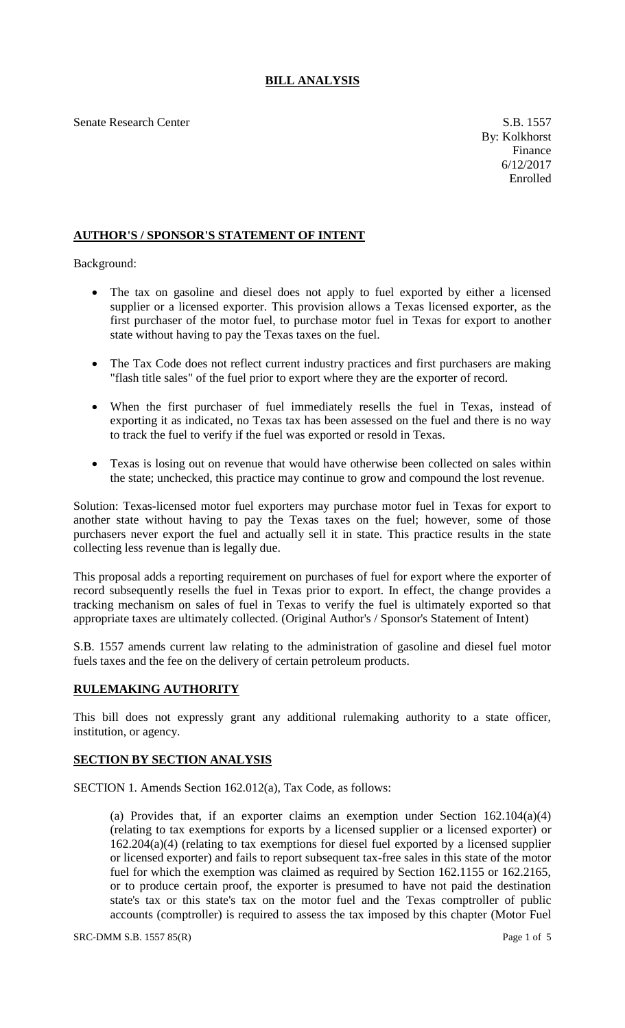## **BILL ANALYSIS**

Senate Research Center S.B. 1557

## **AUTHOR'S / SPONSOR'S STATEMENT OF INTENT**

Background:

- The tax on gasoline and diesel does not apply to fuel exported by either a licensed supplier or a licensed exporter. This provision allows a Texas licensed exporter, as the first purchaser of the motor fuel, to purchase motor fuel in Texas for export to another state without having to pay the Texas taxes on the fuel.
- The Tax Code does not reflect current industry practices and first purchasers are making "flash title sales" of the fuel prior to export where they are the exporter of record.
- When the first purchaser of fuel immediately resells the fuel in Texas, instead of exporting it as indicated, no Texas tax has been assessed on the fuel and there is no way to track the fuel to verify if the fuel was exported or resold in Texas.
- Texas is losing out on revenue that would have otherwise been collected on sales within the state; unchecked, this practice may continue to grow and compound the lost revenue.

Solution: Texas-licensed motor fuel exporters may purchase motor fuel in Texas for export to another state without having to pay the Texas taxes on the fuel; however, some of those purchasers never export the fuel and actually sell it in state. This practice results in the state collecting less revenue than is legally due.

This proposal adds a reporting requirement on purchases of fuel for export where the exporter of record subsequently resells the fuel in Texas prior to export. In effect, the change provides a tracking mechanism on sales of fuel in Texas to verify the fuel is ultimately exported so that appropriate taxes are ultimately collected. (Original Author's / Sponsor's Statement of Intent)

S.B. 1557 amends current law relating to the administration of gasoline and diesel fuel motor fuels taxes and the fee on the delivery of certain petroleum products.

## **RULEMAKING AUTHORITY**

This bill does not expressly grant any additional rulemaking authority to a state officer, institution, or agency.

## **SECTION BY SECTION ANALYSIS**

SECTION 1. Amends Section 162.012(a), Tax Code, as follows:

(a) Provides that, if an exporter claims an exemption under Section 162.104(a)(4) (relating to tax exemptions for exports by a licensed supplier or a licensed exporter) or 162.204(a)(4) (relating to tax exemptions for diesel fuel exported by a licensed supplier or licensed exporter) and fails to report subsequent tax-free sales in this state of the motor fuel for which the exemption was claimed as required by Section 162.1155 or 162.2165, or to produce certain proof, the exporter is presumed to have not paid the destination state's tax or this state's tax on the motor fuel and the Texas comptroller of public accounts (comptroller) is required to assess the tax imposed by this chapter (Motor Fuel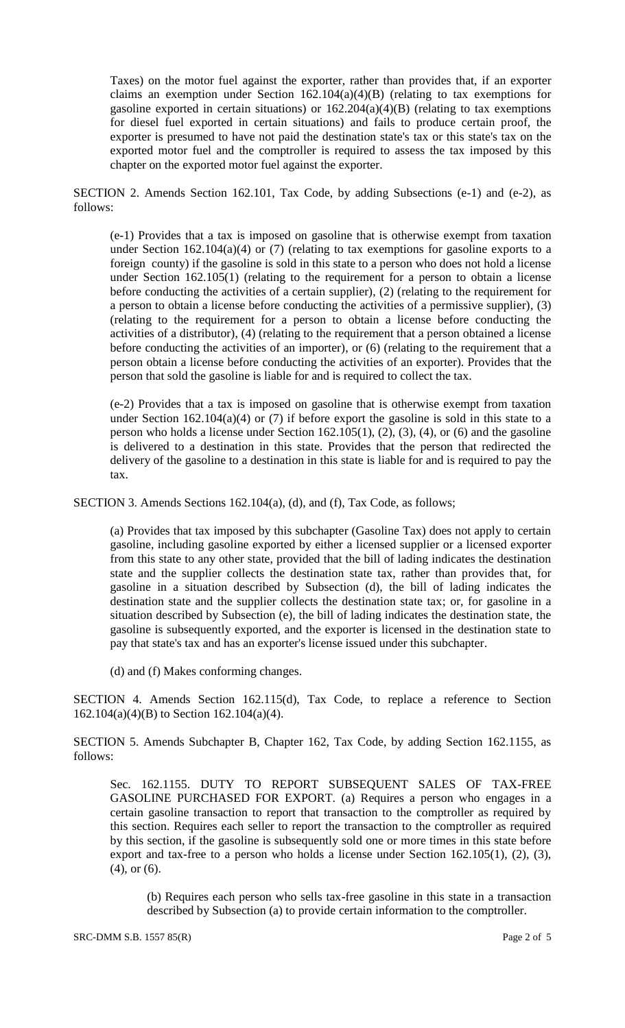Taxes) on the motor fuel against the exporter, rather than provides that, if an exporter claims an exemption under Section  $162.104(a)(4)(B)$  (relating to tax exemptions for gasoline exported in certain situations) or 162.204(a)(4)(B) (relating to tax exemptions for diesel fuel exported in certain situations) and fails to produce certain proof, the exporter is presumed to have not paid the destination state's tax or this state's tax on the exported motor fuel and the comptroller is required to assess the tax imposed by this chapter on the exported motor fuel against the exporter.

SECTION 2. Amends Section 162.101, Tax Code, by adding Subsections (e-1) and (e-2), as follows:

(e-1) Provides that a tax is imposed on gasoline that is otherwise exempt from taxation under Section 162.104(a)(4) or  $(7)$  (relating to tax exemptions for gasoline exports to a foreign county) if the gasoline is sold in this state to a person who does not hold a license under Section 162.105(1) (relating to the requirement for a person to obtain a license before conducting the activities of a certain supplier), (2) (relating to the requirement for a person to obtain a license before conducting the activities of a permissive supplier), (3) (relating to the requirement for a person to obtain a license before conducting the activities of a distributor), (4) (relating to the requirement that a person obtained a license before conducting the activities of an importer), or (6) (relating to the requirement that a person obtain a license before conducting the activities of an exporter). Provides that the person that sold the gasoline is liable for and is required to collect the tax.

(e-2) Provides that a tax is imposed on gasoline that is otherwise exempt from taxation under Section  $162.104(a)(4)$  or (7) if before export the gasoline is sold in this state to a person who holds a license under Section 162.105(1), (2), (3), (4), or (6) and the gasoline is delivered to a destination in this state. Provides that the person that redirected the delivery of the gasoline to a destination in this state is liable for and is required to pay the tax.

SECTION 3. Amends Sections 162.104(a), (d), and (f), Tax Code, as follows;

(a) Provides that tax imposed by this subchapter (Gasoline Tax) does not apply to certain gasoline, including gasoline exported by either a licensed supplier or a licensed exporter from this state to any other state, provided that the bill of lading indicates the destination state and the supplier collects the destination state tax, rather than provides that, for gasoline in a situation described by Subsection (d), the bill of lading indicates the destination state and the supplier collects the destination state tax; or, for gasoline in a situation described by Subsection (e), the bill of lading indicates the destination state, the gasoline is subsequently exported, and the exporter is licensed in the destination state to pay that state's tax and has an exporter's license issued under this subchapter.

(d) and (f) Makes conforming changes.

SECTION 4. Amends Section 162.115(d), Tax Code, to replace a reference to Section 162.104(a)(4)(B) to Section 162.104(a)(4).

SECTION 5. Amends Subchapter B, Chapter 162, Tax Code, by adding Section 162.1155, as follows:

Sec. 162.1155. DUTY TO REPORT SUBSEQUENT SALES OF TAX-FREE GASOLINE PURCHASED FOR EXPORT. (a) Requires a person who engages in a certain gasoline transaction to report that transaction to the comptroller as required by this section. Requires each seller to report the transaction to the comptroller as required by this section, if the gasoline is subsequently sold one or more times in this state before export and tax-free to a person who holds a license under Section 162.105(1), (2), (3), (4), or (6).

(b) Requires each person who sells tax-free gasoline in this state in a transaction described by Subsection (a) to provide certain information to the comptroller.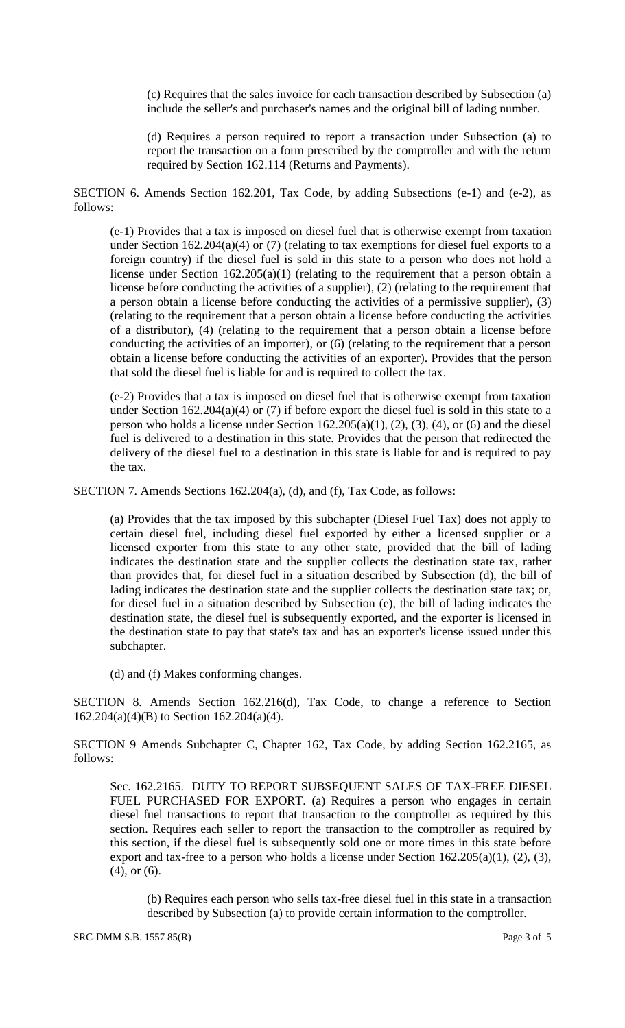(c) Requires that the sales invoice for each transaction described by Subsection (a) include the seller's and purchaser's names and the original bill of lading number.

(d) Requires a person required to report a transaction under Subsection (a) to report the transaction on a form prescribed by the comptroller and with the return required by Section 162.114 (Returns and Payments).

SECTION 6. Amends Section 162.201, Tax Code, by adding Subsections (e-1) and (e-2), as follows:

(e-1) Provides that a tax is imposed on diesel fuel that is otherwise exempt from taxation under Section 162.204(a)(4) or (7) (relating to tax exemptions for diesel fuel exports to a foreign country) if the diesel fuel is sold in this state to a person who does not hold a license under Section 162.205(a)(1) (relating to the requirement that a person obtain a license before conducting the activities of a supplier), (2) (relating to the requirement that a person obtain a license before conducting the activities of a permissive supplier), (3) (relating to the requirement that a person obtain a license before conducting the activities of a distributor), (4) (relating to the requirement that a person obtain a license before conducting the activities of an importer), or (6) (relating to the requirement that a person obtain a license before conducting the activities of an exporter). Provides that the person that sold the diesel fuel is liable for and is required to collect the tax.

(e-2) Provides that a tax is imposed on diesel fuel that is otherwise exempt from taxation under Section 162.204(a)(4) or (7) if before export the diesel fuel is sold in this state to a person who holds a license under Section 162.205(a)(1), (2), (3), (4), or (6) and the diesel fuel is delivered to a destination in this state. Provides that the person that redirected the delivery of the diesel fuel to a destination in this state is liable for and is required to pay the tax.

SECTION 7. Amends Sections 162.204(a), (d), and (f), Tax Code, as follows:

(a) Provides that the tax imposed by this subchapter (Diesel Fuel Tax) does not apply to certain diesel fuel, including diesel fuel exported by either a licensed supplier or a licensed exporter from this state to any other state, provided that the bill of lading indicates the destination state and the supplier collects the destination state tax, rather than provides that, for diesel fuel in a situation described by Subsection (d), the bill of lading indicates the destination state and the supplier collects the destination state tax; or, for diesel fuel in a situation described by Subsection (e), the bill of lading indicates the destination state, the diesel fuel is subsequently exported, and the exporter is licensed in the destination state to pay that state's tax and has an exporter's license issued under this subchapter.

(d) and (f) Makes conforming changes.

SECTION 8. Amends Section 162.216(d), Tax Code, to change a reference to Section 162.204(a)(4)(B) to Section 162.204(a)(4).

SECTION 9 Amends Subchapter C, Chapter 162, Tax Code, by adding Section 162.2165, as follows:

Sec. 162.2165. DUTY TO REPORT SUBSEQUENT SALES OF TAX-FREE DIESEL FUEL PURCHASED FOR EXPORT. (a) Requires a person who engages in certain diesel fuel transactions to report that transaction to the comptroller as required by this section. Requires each seller to report the transaction to the comptroller as required by this section, if the diesel fuel is subsequently sold one or more times in this state before export and tax-free to a person who holds a license under Section  $162.205(a)(1)$ ,  $(2)$ ,  $(3)$ , (4), or (6).

(b) Requires each person who sells tax-free diesel fuel in this state in a transaction described by Subsection (a) to provide certain information to the comptroller.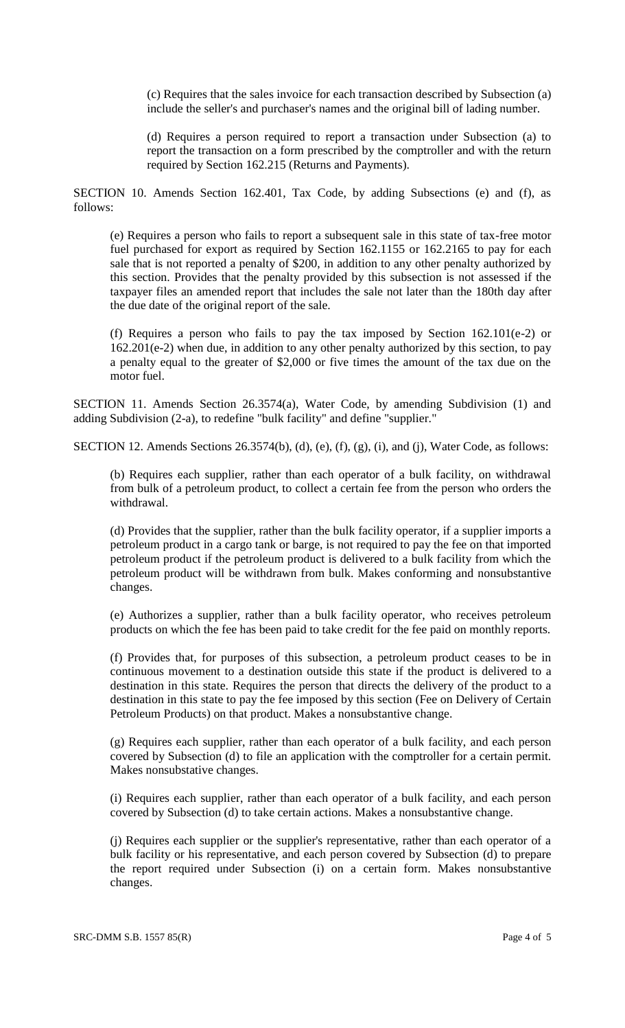(c) Requires that the sales invoice for each transaction described by Subsection (a) include the seller's and purchaser's names and the original bill of lading number.

(d) Requires a person required to report a transaction under Subsection (a) to report the transaction on a form prescribed by the comptroller and with the return required by Section 162.215 (Returns and Payments).

SECTION 10. Amends Section 162.401, Tax Code, by adding Subsections (e) and (f), as follows:

(e) Requires a person who fails to report a subsequent sale in this state of tax-free motor fuel purchased for export as required by Section 162.1155 or 162.2165 to pay for each sale that is not reported a penalty of \$200, in addition to any other penalty authorized by this section. Provides that the penalty provided by this subsection is not assessed if the taxpayer files an amended report that includes the sale not later than the 180th day after the due date of the original report of the sale.

(f) Requires a person who fails to pay the tax imposed by Section 162.101(e-2) or 162.201(e-2) when due, in addition to any other penalty authorized by this section, to pay a penalty equal to the greater of \$2,000 or five times the amount of the tax due on the motor fuel.

SECTION 11. Amends Section 26.3574(a), Water Code, by amending Subdivision (1) and adding Subdivision (2-a), to redefine "bulk facility" and define "supplier."

SECTION 12. Amends Sections 26.3574(b), (d), (e), (f), (g), (i), and (j), Water Code, as follows:

(b) Requires each supplier, rather than each operator of a bulk facility, on withdrawal from bulk of a petroleum product, to collect a certain fee from the person who orders the withdrawal.

(d) Provides that the supplier, rather than the bulk facility operator, if a supplier imports a petroleum product in a cargo tank or barge, is not required to pay the fee on that imported petroleum product if the petroleum product is delivered to a bulk facility from which the petroleum product will be withdrawn from bulk. Makes conforming and nonsubstantive changes.

(e) Authorizes a supplier, rather than a bulk facility operator, who receives petroleum products on which the fee has been paid to take credit for the fee paid on monthly reports.

(f) Provides that, for purposes of this subsection, a petroleum product ceases to be in continuous movement to a destination outside this state if the product is delivered to a destination in this state. Requires the person that directs the delivery of the product to a destination in this state to pay the fee imposed by this section (Fee on Delivery of Certain Petroleum Products) on that product. Makes a nonsubstantive change.

(g) Requires each supplier, rather than each operator of a bulk facility, and each person covered by Subsection (d) to file an application with the comptroller for a certain permit. Makes nonsubstative changes.

(i) Requires each supplier, rather than each operator of a bulk facility, and each person covered by Subsection (d) to take certain actions. Makes a nonsubstantive change.

(j) Requires each supplier or the supplier's representative, rather than each operator of a bulk facility or his representative, and each person covered by Subsection (d) to prepare the report required under Subsection (i) on a certain form. Makes nonsubstantive changes.